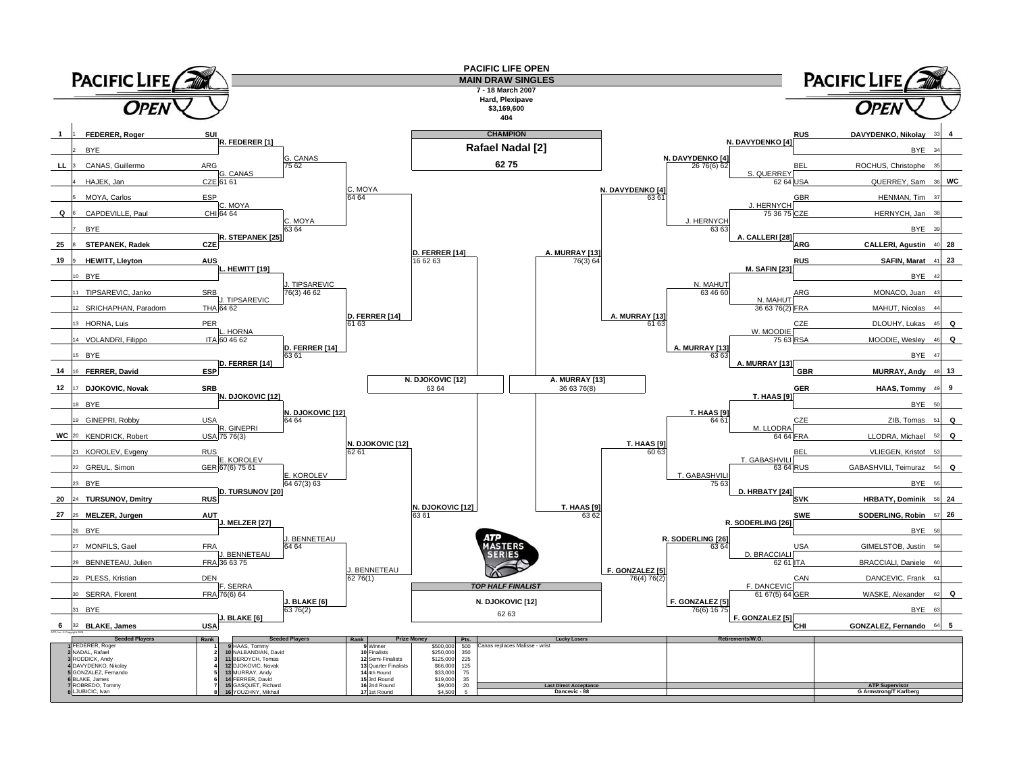